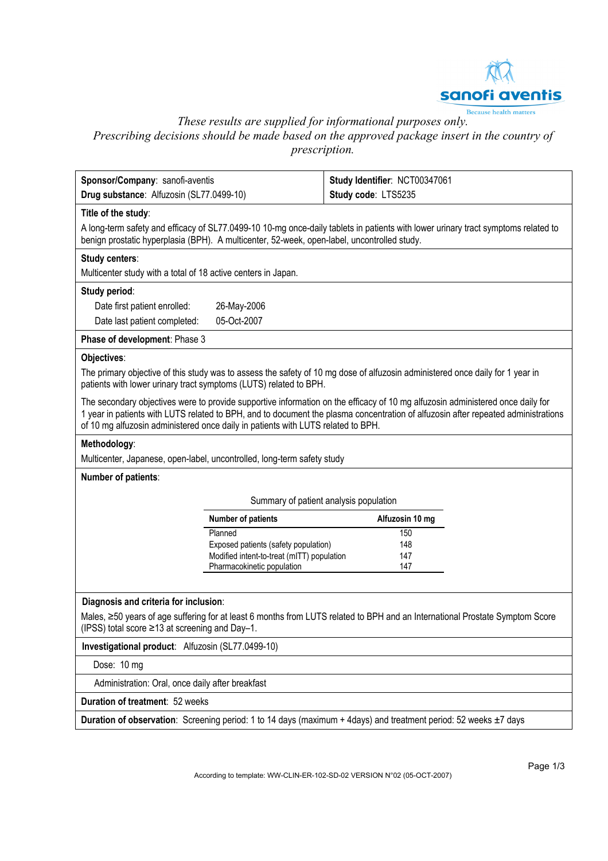

*These results are supplied for informational purposes only.*  Prescribing decisions should be made based on the approved package insert in the country of *prescription.* 

| Sponsor/Company: sanofi-aventis<br>Drug substance: Alfuzosin (SL77.0499-10)                 |                                                                          | Study Identifier: NCT00347061<br>Study code: LTS5235                                                                                                                                                                                                                |  |
|---------------------------------------------------------------------------------------------|--------------------------------------------------------------------------|---------------------------------------------------------------------------------------------------------------------------------------------------------------------------------------------------------------------------------------------------------------------|--|
|                                                                                             |                                                                          |                                                                                                                                                                                                                                                                     |  |
| Title of the study:                                                                         |                                                                          |                                                                                                                                                                                                                                                                     |  |
| benign prostatic hyperplasia (BPH). A multicenter, 52-week, open-label, uncontrolled study. |                                                                          | A long-term safety and efficacy of SL77.0499-10 10-mg once-daily tablets in patients with lower urinary tract symptoms related to                                                                                                                                   |  |
| Study centers:                                                                              |                                                                          |                                                                                                                                                                                                                                                                     |  |
| Multicenter study with a total of 18 active centers in Japan.                               |                                                                          |                                                                                                                                                                                                                                                                     |  |
| Study period:                                                                               |                                                                          |                                                                                                                                                                                                                                                                     |  |
| Date first patient enrolled:                                                                | 26-May-2006                                                              |                                                                                                                                                                                                                                                                     |  |
| Date last patient completed:                                                                | 05-Oct-2007                                                              |                                                                                                                                                                                                                                                                     |  |
| Phase of development: Phase 3                                                               |                                                                          |                                                                                                                                                                                                                                                                     |  |
| Objectives:                                                                                 |                                                                          |                                                                                                                                                                                                                                                                     |  |
| patients with lower urinary tract symptoms (LUTS) related to BPH.                           |                                                                          | The primary objective of this study was to assess the safety of 10 mg dose of alfuzosin administered once daily for 1 year in                                                                                                                                       |  |
| of 10 mg alfuzosin administered once daily in patients with LUTS related to BPH.            |                                                                          | The secondary objectives were to provide supportive information on the efficacy of 10 mg alfuzosin administered once daily for<br>1 year in patients with LUTS related to BPH, and to document the plasma concentration of alfuzosin after repeated administrations |  |
| Methodology:                                                                                |                                                                          |                                                                                                                                                                                                                                                                     |  |
| Multicenter, Japanese, open-label, uncontrolled, long-term safety study                     |                                                                          |                                                                                                                                                                                                                                                                     |  |
| Number of patients:                                                                         |                                                                          |                                                                                                                                                                                                                                                                     |  |
| Summary of patient analysis population                                                      |                                                                          |                                                                                                                                                                                                                                                                     |  |
|                                                                                             | <b>Number of patients</b>                                                | Alfuzosin 10 mg                                                                                                                                                                                                                                                     |  |
|                                                                                             | Planned                                                                  | 150                                                                                                                                                                                                                                                                 |  |
|                                                                                             | Exposed patients (safety population)                                     | 148                                                                                                                                                                                                                                                                 |  |
|                                                                                             | Modified intent-to-treat (mITT) population<br>Pharmacokinetic population | 147<br>147                                                                                                                                                                                                                                                          |  |
|                                                                                             |                                                                          |                                                                                                                                                                                                                                                                     |  |
| Diagnosis and criteria for inclusion:                                                       |                                                                          |                                                                                                                                                                                                                                                                     |  |
| (IPSS) total score $\geq$ 13 at screening and Day-1.                                        |                                                                          | Males, ≥50 years of age suffering for at least 6 months from LUTS related to BPH and an International Prostate Symptom Score                                                                                                                                        |  |
| Investigational product: Alfuzosin (SL77.0499-10)                                           |                                                                          |                                                                                                                                                                                                                                                                     |  |
| Dose: 10 mg                                                                                 |                                                                          |                                                                                                                                                                                                                                                                     |  |
| Administration: Oral, once daily after breakfast                                            |                                                                          |                                                                                                                                                                                                                                                                     |  |
|                                                                                             |                                                                          |                                                                                                                                                                                                                                                                     |  |
| Duration of treatment: 52 weeks                                                             |                                                                          |                                                                                                                                                                                                                                                                     |  |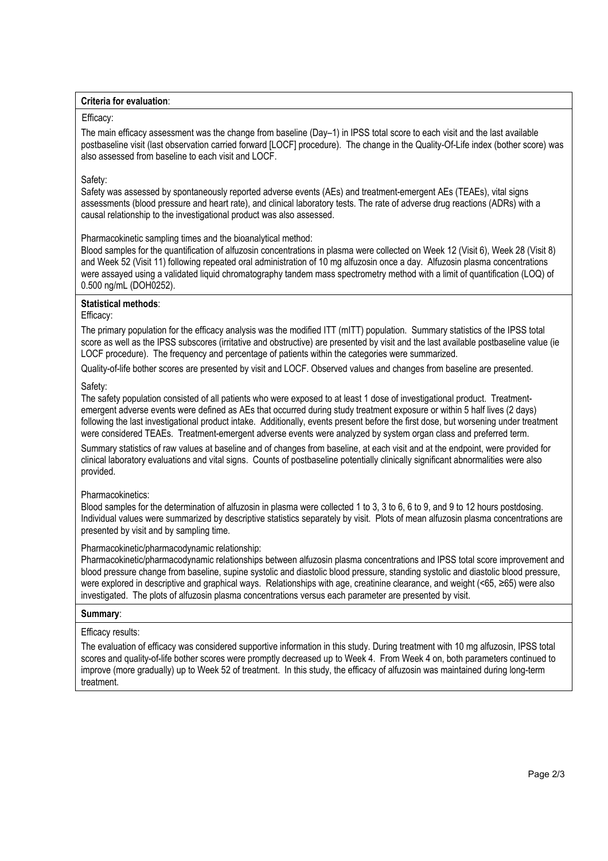#### **Criteria for evaluation**:

#### Efficacy:

The main efficacy assessment was the change from baseline (Day–1) in IPSS total score to each visit and the last available postbaseline visit (last observation carried forward [LOCF] procedure). The change in the Quality-Of-Life index (bother score) was also assessed from baseline to each visit and LOCF.

# Safety:

Safety was assessed by spontaneously reported adverse events (AEs) and treatment-emergent AEs (TEAEs), vital signs assessments (blood pressure and heart rate), and clinical laboratory tests. The rate of adverse drug reactions (ADRs) with a causal relationship to the investigational product was also assessed.

Pharmacokinetic sampling times and the bioanalytical method:

Blood samples for the quantification of alfuzosin concentrations in plasma were collected on Week 12 (Visit 6), Week 28 (Visit 8) and Week 52 (Visit 11) following repeated oral administration of 10 mg alfuzosin once a day. Alfuzosin plasma concentrations were assayed using a validated liquid chromatography tandem mass spectrometry method with a limit of quantification (LOQ) of 0.500 ng/mL (DOH0252).

# **Statistical methods**:

#### Efficacy:

The primary population for the efficacy analysis was the modified ITT (mITT) population. Summary statistics of the IPSS total score as well as the IPSS subscores (irritative and obstructive) are presented by visit and the last available postbaseline value (ie LOCF procedure). The frequency and percentage of patients within the categories were summarized.

Quality-of-life bother scores are presented by visit and LOCF. Observed values and changes from baseline are presented.

# Safety:

The safety population consisted of all patients who were exposed to at least 1 dose of investigational product. Treatmentemergent adverse events were defined as AEs that occurred during study treatment exposure or within 5 half lives (2 days) following the last investigational product intake. Additionally, events present before the first dose, but worsening under treatment were considered TEAEs. Treatment-emergent adverse events were analyzed by system organ class and preferred term.

Summary statistics of raw values at baseline and of changes from baseline, at each visit and at the endpoint, were provided for clinical laboratory evaluations and vital signs. Counts of postbaseline potentially clinically significant abnormalities were also provided.

# Pharmacokinetics:

Blood samples for the determination of alfuzosin in plasma were collected 1 to 3, 3 to 6, 6 to 9, and 9 to 12 hours postdosing. Individual values were summarized by descriptive statistics separately by visit. Plots of mean alfuzosin plasma concentrations are presented by visit and by sampling time.

# Pharmacokinetic/pharmacodynamic relationship:

Pharmacokinetic/pharmacodynamic relationships between alfuzosin plasma concentrations and IPSS total score improvement and blood pressure change from baseline, supine systolic and diastolic blood pressure, standing systolic and diastolic blood pressure, were explored in descriptive and graphical ways. Relationships with age, creatinine clearance, and weight (<65, ≥65) were also investigated. The plots of alfuzosin plasma concentrations versus each parameter are presented by visit.

# **Summary**:

# Efficacy results:

The evaluation of efficacy was considered supportive information in this study. During treatment with 10 mg alfuzosin, IPSS total scores and quality-of-life bother scores were promptly decreased up to Week 4. From Week 4 on, both parameters continued to improve (more gradually) up to Week 52 of treatment. In this study, the efficacy of alfuzosin was maintained during long-term treatment.